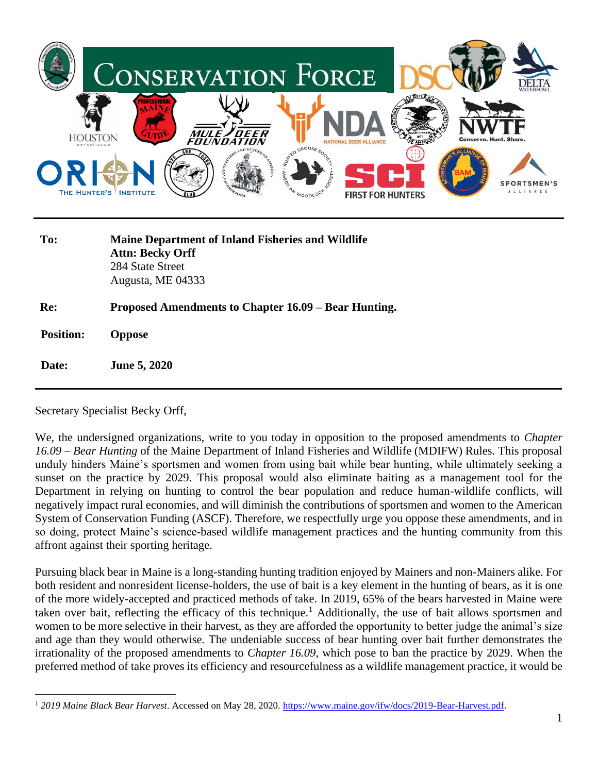

**Re: Proposed Amendments to Chapter 16.09 – Bear Hunting.**

 **Position: Oppose**

 **Date: June 5, 2020**

Secretary Specialist Becky Orff,

We, the undersigned organizations, write to you today in opposition to the proposed amendments to *Chapter 16.09 – Bear Hunting* of the Maine Department of Inland Fisheries and Wildlife (MDIFW) Rules. This proposal unduly hinders Maine's sportsmen and women from using bait while bear hunting, while ultimately seeking a sunset on the practice by 2029. This proposal would also eliminate baiting as a management tool for the Department in relying on hunting to control the bear population and reduce human-wildlife conflicts, will negatively impact rural economies, and will diminish the contributions of sportsmen and women to the American System of Conservation Funding (ASCF). Therefore, we respectfully urge you oppose these amendments, and in so doing, protect Maine's science-based wildlife management practices and the hunting community from this affront against their sporting heritage.

Pursuing black bear in Maine is a long-standing hunting tradition enjoyed by Mainers and non-Mainers alike. For both resident and nonresident license-holders, the use of bait is a key element in the hunting of bears, as it is one of the more widely-accepted and practiced methods of take. In 2019, 65% of the bears harvested in Maine were taken over bait, reflecting the efficacy of this technique.<sup>1</sup> Additionally, the use of bait allows sportsmen and women to be more selective in their harvest, as they are afforded the opportunity to better judge the animal's size and age than they would otherwise. The undeniable success of bear hunting over bait further demonstrates the irrationality of the proposed amendments to *Chapter 16.09*, which pose to ban the practice by 2029. When the preferred method of take proves its efficiency and resourcefulness as a wildlife management practice, it would be

<sup>1</sup> *2019 Maine Black Bear Harvest*. Accessed on May 28, 2020. [https://www.maine.gov/ifw/docs/2019-Bear-Harvest.pdf.](https://www.maine.gov/ifw/docs/2019-Bear-Harvest.pdf)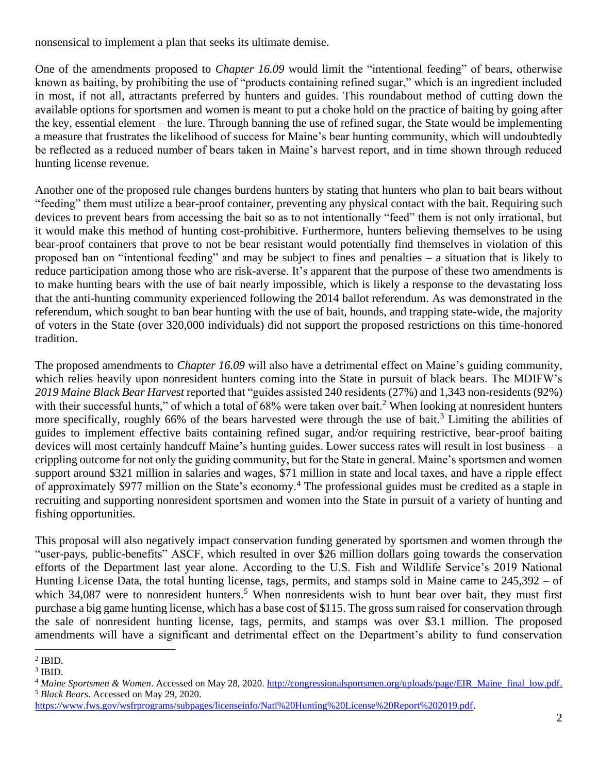nonsensical to implement a plan that seeks its ultimate demise.

One of the amendments proposed to *Chapter 16.09* would limit the "intentional feeding" of bears, otherwise known as baiting, by prohibiting the use of "products containing refined sugar," which is an ingredient included in most, if not all, attractants preferred by hunters and guides. This roundabout method of cutting down the available options for sportsmen and women is meant to put a choke hold on the practice of baiting by going after the key, essential element – the lure. Through banning the use of refined sugar, the State would be implementing a measure that frustrates the likelihood of success for Maine's bear hunting community, which will undoubtedly be reflected as a reduced number of bears taken in Maine's harvest report, and in time shown through reduced hunting license revenue.

Another one of the proposed rule changes burdens hunters by stating that hunters who plan to bait bears without "feeding" them must utilize a bear-proof container, preventing any physical contact with the bait. Requiring such devices to prevent bears from accessing the bait so as to not intentionally "feed" them is not only irrational, but it would make this method of hunting cost-prohibitive. Furthermore, hunters believing themselves to be using bear-proof containers that prove to not be bear resistant would potentially find themselves in violation of this proposed ban on "intentional feeding" and may be subject to fines and penalties – a situation that is likely to reduce participation among those who are risk-averse. It's apparent that the purpose of these two amendments is to make hunting bears with the use of bait nearly impossible, which is likely a response to the devastating loss that the anti-hunting community experienced following the 2014 ballot referendum. As was demonstrated in the referendum, which sought to ban bear hunting with the use of bait, hounds, and trapping state-wide, the majority of voters in the State (over 320,000 individuals) did not support the proposed restrictions on this time-honored tradition.

The proposed amendments to *Chapter 16.09* will also have a detrimental effect on Maine's guiding community, which relies heavily upon nonresident hunters coming into the State in pursuit of black bears. The MDIFW's *2019 Maine Black Bear Harvest* reported that "guides assisted 240 residents (27%) and 1,343 non-residents (92%) with their successful hunts," of which a total of  $68\%$  were taken over bait.<sup>2</sup> When looking at nonresident hunters more specifically, roughly 66% of the bears harvested were through the use of bait.<sup>3</sup> Limiting the abilities of guides to implement effective baits containing refined sugar, and/or requiring restrictive, bear-proof baiting devices will most certainly handcuff Maine's hunting guides. Lower success rates will result in lost business – a crippling outcome for not only the guiding community, but for the State in general. Maine's sportsmen and women support around \$321 million in salaries and wages, \$71 million in state and local taxes, and have a ripple effect of approximately \$977 million on the State's economy.<sup>4</sup> The professional guides must be credited as a staple in recruiting and supporting nonresident sportsmen and women into the State in pursuit of a variety of hunting and fishing opportunities.

This proposal will also negatively impact conservation funding generated by sportsmen and women through the "user-pays, public-benefits" ASCF, which resulted in over \$26 million dollars going towards the conservation efforts of the Department last year alone. According to the U.S. Fish and Wildlife Service's 2019 National Hunting License Data, the total hunting license, tags, permits, and stamps sold in Maine came to 245,392 – of which 34,087 were to nonresident hunters.<sup>5</sup> When nonresidents wish to hunt bear over bait, they must first purchase a big game hunting license, which has a base cost of \$115. The gross sum raised for conservation through the sale of nonresident hunting license, tags, permits, and stamps was over \$3.1 million. The proposed amendments will have a significant and detrimental effect on the Department's ability to fund conservation

 $2$  IBID.

 $3$  IBID.

<sup>&</sup>lt;sup>4</sup> Maine Sportsmen & Women. Accessed on May 28, 2020. [http://congressionalsportsmen.org/uploads/page/EIR\\_Maine\\_final\\_low.pdf.](http://congressionalsportsmen.org/uploads/page/EIR_Maine_final_low.pdf) <sup>5</sup> *Black Bears*. Accessed on May 29, 2020.

[https://www.fws.gov/wsfrprograms/subpages/licenseinfo/Natl%20Hunting%20License%20Report%202019.pdf.](https://www.fws.gov/wsfrprograms/subpages/licenseinfo/Natl%20Hunting%20License%20Report%202019.pdf)